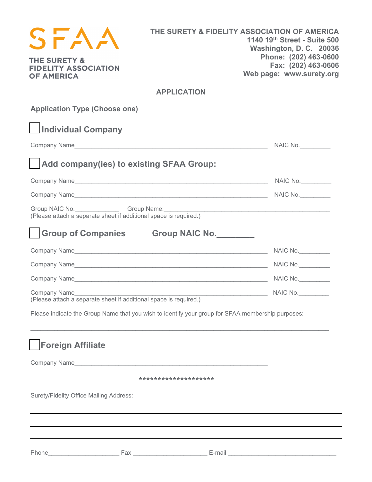| <b>THE SURETY &amp;</b><br><b>FIDELITY ASSOCIATION</b><br><b>OF AMERICA</b>                                                 | THE SURETY & FIDELITY ASSOCIATION OF AMERICA                                                      | 1140 19th Street - Suite 500<br>Washington, D. C. 20036<br>Phone: (202) 463-0600<br>Fax: (202) 463-0606<br>Web page: www.surety.org |
|-----------------------------------------------------------------------------------------------------------------------------|---------------------------------------------------------------------------------------------------|-------------------------------------------------------------------------------------------------------------------------------------|
|                                                                                                                             | <b>APPLICATION</b>                                                                                |                                                                                                                                     |
| <b>Application Type (Choose one)</b>                                                                                        |                                                                                                   |                                                                                                                                     |
| Individual Company                                                                                                          |                                                                                                   |                                                                                                                                     |
|                                                                                                                             |                                                                                                   | NAIC No.                                                                                                                            |
| Add company(ies) to existing SFAA Group:                                                                                    |                                                                                                   |                                                                                                                                     |
|                                                                                                                             |                                                                                                   | NAIC No.                                                                                                                            |
|                                                                                                                             |                                                                                                   |                                                                                                                                     |
| Group NAIC No. __________________Group Name:__________<br>(Please attach a separate sheet if additional space is required.) |                                                                                                   |                                                                                                                                     |
|                                                                                                                             | Group of Companies Group NAIC No.                                                                 |                                                                                                                                     |
|                                                                                                                             |                                                                                                   |                                                                                                                                     |
|                                                                                                                             |                                                                                                   |                                                                                                                                     |
|                                                                                                                             |                                                                                                   |                                                                                                                                     |
| Company Name<br>(Please attach a separate sheet if additional space is required.)                                           |                                                                                                   | $NAIC No.$                                                                                                                          |
|                                                                                                                             | Please indicate the Group Name that you wish to identify your group for SFAA membership purposes: |                                                                                                                                     |
| <b>Foreign Affiliate</b>                                                                                                    |                                                                                                   |                                                                                                                                     |
|                                                                                                                             |                                                                                                   |                                                                                                                                     |
|                                                                                                                             | ********************                                                                              |                                                                                                                                     |
| Surety/Fidelity Office Mailing Address:                                                                                     |                                                                                                   |                                                                                                                                     |
|                                                                                                                             |                                                                                                   |                                                                                                                                     |
|                                                                                                                             |                                                                                                   |                                                                                                                                     |
| Phone___                                                                                                                    |                                                                                                   |                                                                                                                                     |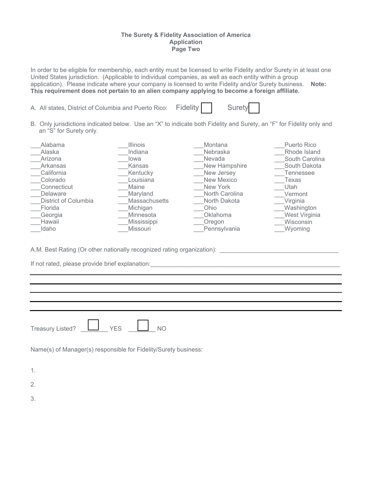#### **The Surety & Fidelity Association of America Application Page Two**

In order to be eligible for membership, each entity must be licensed to write Fidelity and/or Surety in at least one United States jurisdiction. (Applicable to individual companies, as well as each entity within a group application). Please indicate where your company is licensed to write Fidelity and/or Surety business. **Note: This requirement does not pertain to an alien company applying to become a foreign affiliate.** 

|  |  | A. All states, District of Columbia and Puerto Rico: Fidelity |  | Surety |  |
|--|--|---------------------------------------------------------------|--|--------|--|
|  |  |                                                               |  |        |  |

B. Only jurisdictions indicated below. Use an "X" to indicate both Fidelity and Surety, an "F" for Fidelity only and an "S" for Surety only.

| Alabama              | <b>Illinois</b>      | Montana        | Puerto Rico    |
|----------------------|----------------------|----------------|----------------|
| Alaska               | Indiana              | Nebraska       | Rhode Island   |
| Arizona              | lowa                 | <b>Nevada</b>  | South Carolina |
| Arkansas             | Kansas               | New Hampshire  | South Dakota   |
| California           | Kentucky             | New Jersey     | Tennessee      |
| Colorado             | Louisiana            | New Mexico     | Texas          |
| Connecticut          | Maine                | New York       | Utah           |
| Delaware             | Maryland             | North Carolina | Vermont        |
| District of Columbia | <b>Massachusetts</b> | North Dakota   | Virginia       |
| Florida              | Michigan             | Ohio           | Washington     |
| Georgia              | Minnesota            | Oklahoma       | West Virginia  |
| Hawaii               | <b>Mississippi</b>   | Oregon         | Wisconsin      |
| Idaho                | Missouri             | Pennsylvania   | Wyoming        |

A.M. Best Rating (Or other nationally recognized rating organization): \_\_\_\_\_\_\_\_\_\_\_\_\_\_\_\_\_\_\_\_\_\_\_\_\_\_\_\_\_\_\_\_\_\_\_

If not rated, please provide brief explanation: \_\_\_\_\_\_\_\_\_\_\_\_\_\_\_\_\_\_\_\_\_\_\_\_\_\_\_\_\_\_\_\_

| <b>Treasury Listed?</b> |  |
|-------------------------|--|

Name(s) of Manager(s) responsible for Fidelity/Surety business:

1.

2.

3.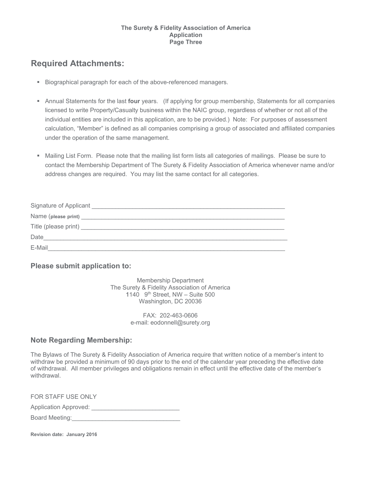#### **The Surety & Fidelity Association of America Application Page Three**

# **Required Attachments:**

- Biographical paragraph for each of the above-referenced managers.
- Annual Statements for the last **four** years. (If applying for group membership, Statements for all companies licensed to write Property/Casualty business within the NAIC group, regardless of whether or not all of the individual entities are included in this application, are to be provided.) Note: For purposes of assessment calculation, "Member" is defined as all companies comprising a group of associated and affiliated companies under the operation of the same management.
- Mailing List Form. Please note that the mailing list form lists all categories of mailings. Please be sure to contact the Membership Department of The Surety & Fidelity Association of America whenever name and/or address changes are required. You may list the same contact for all categories.

| Signature of Applicant Management Communications and Communications of Applicant |
|----------------------------------------------------------------------------------|
|                                                                                  |
|                                                                                  |
| Date                                                                             |
| E-Mail                                                                           |

## **Please submit application to:**

Membership Department The Surety & Fidelity Association of America 1140  $9<sup>th</sup>$  Street, NW – Suite 500 Washington, DC 20036

> FAX: 202-463-0606 e-mail: eodonnell@surety.org

## **Note Regarding Membership:**

The Bylaws of The Surety & Fidelity Association of America require that written notice of a member's intent to withdraw be provided a minimum of 90 days prior to the end of the calendar year preceding the effective date of withdrawal. All member privileges and obligations remain in effect until the effective date of the member's withdrawal.

FOR STAFF USE ONLY Application Approved: \_\_\_\_\_\_\_\_\_\_\_\_\_\_\_\_\_\_\_\_\_\_\_\_\_\_ Board Meeting:

**Revision date: January 2016**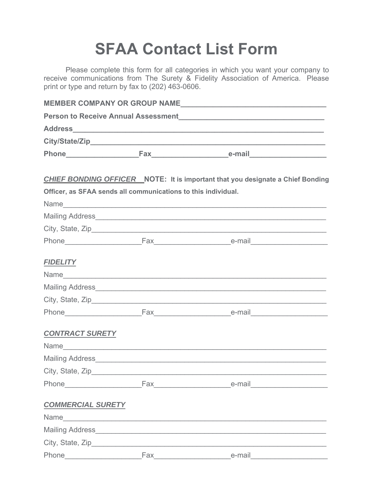# **SFAA Contact List Form**

Please complete this form for all categories in which you want your company to receive communications from The Surety & Fidelity Association of America. Please print or type and return by fax to (202) 463-0606.

|                                                               | <b>CHIEF BONDING OFFICER</b> NOTE: It is important that you designate a Chief Bonding |
|---------------------------------------------------------------|---------------------------------------------------------------------------------------|
| Officer, as SFAA sends all communications to this individual. |                                                                                       |
|                                                               |                                                                                       |
|                                                               |                                                                                       |
|                                                               |                                                                                       |
|                                                               |                                                                                       |
| <b>FIDELITY</b>                                               |                                                                                       |
|                                                               |                                                                                       |
|                                                               |                                                                                       |
|                                                               |                                                                                       |
|                                                               |                                                                                       |
| <b>CONTRACT SURETY</b>                                        |                                                                                       |
|                                                               |                                                                                       |
|                                                               |                                                                                       |
|                                                               |                                                                                       |
|                                                               |                                                                                       |
| <b>COMMERCIAL SURETY</b>                                      |                                                                                       |
|                                                               |                                                                                       |
| Mailing Address______                                         |                                                                                       |

Phone\_\_\_\_\_\_\_\_\_\_\_\_\_\_\_\_\_\_\_Fax\_\_\_\_\_\_\_\_\_\_\_\_\_\_\_\_\_\_\_e-mail\_\_\_\_\_\_\_\_\_\_\_\_\_\_\_\_\_\_\_ City, State, Zip\_\_\_\_\_\_\_\_\_\_\_\_\_\_\_\_\_\_\_\_\_\_\_\_\_\_\_\_\_\_\_\_\_\_\_\_\_\_\_\_\_\_\_\_\_\_\_\_\_\_\_\_\_\_\_\_\_\_ Phone\_\_\_\_\_\_\_\_\_\_\_\_\_\_\_\_\_\_\_Fax\_\_\_\_\_\_\_\_\_\_\_\_\_\_\_\_\_\_\_e-mail\_\_\_\_\_\_\_\_\_\_\_\_\_\_\_\_\_\_\_